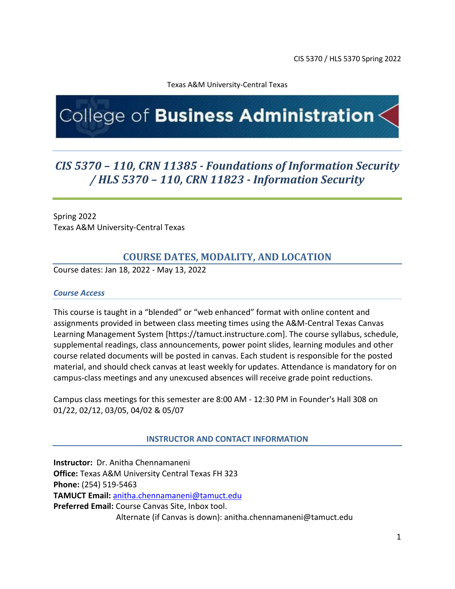#### Texas A&M University-Central Texas

# College of Business Administration

# *CIS 5370 – 110, CRN 11385 - Foundations of Information Security / HLS 5370 – 110, CRN 11823 - Information Security*

Spring 2022 Texas A&M University-Central Texas

# **COURSE DATES, MODALITY, AND LOCATION**

Course dates: Jan 18, 2022 - May 13, 2022

#### *Course Access*

This course is taught in a "blended" or "web enhanced" format with online content and assignments provided in between class meeting times using the A&M-Central Texas Canvas Learning Management System [https://tamuct.instructure.com]. The course syllabus, schedule, supplemental readings, class announcements, power point slides, learning modules and other course related documents will be posted in canvas. Each student is responsible for the posted material, and should check canvas at least weekly for updates. Attendance is mandatory for on campus-class meetings and any unexcused absences will receive grade point reductions.

Campus class meetings for this semester are 8:00 AM - 12:30 PM in Founder's Hall 308 on 01/22, 02/12, 03/05, 04/02 & 05/07

**INSTRUCTOR AND CONTACT INFORMATION**

**Instructor:** Dr. Anitha Chennamaneni **Office:** Texas A&M University Central Texas FH 323 **Phone:** (254) 519-5463 **TAMUCT Email:** [anitha.chennamaneni@tamuct.edu](mailto:anitha.chennamaneni@tamuct.edu) **Preferred Email:** Course Canvas Site, Inbox tool. Alternate (if Canvas is down): anitha.chennamaneni@tamuct.edu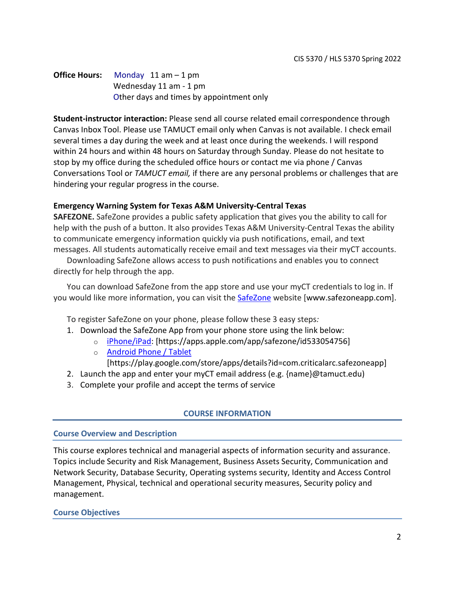**Office Hours:** Monday 11 am – 1 pm Wednesday 11 am - 1 pm Other days and times by appointment only

**Student-instructor interaction:** Please send all course related email correspondence through Canvas Inbox Tool. Please use TAMUCT email only when Canvas is not available. I check email several times a day during the week and at least once during the weekends. I will respond within 24 hours and within 48 hours on Saturday through Sunday. Please do not hesitate to stop by my office during the scheduled office hours or contact me via phone / Canvas Conversations Tool or *TAMUCT email,* if there are any personal problems or challenges that are hindering your regular progress in the course.

# **Emergency Warning System for Texas A&M University-Central Texas**

**SAFEZONE.** SafeZone provides a public safety application that gives you the ability to call for help with the push of a button. It also provides Texas A&M University-Central Texas the ability to communicate emergency information quickly via push notifications, email, and text messages. All students automatically receive email and text messages via their myCT accounts.

Downloading SafeZone allows access to push notifications and enables you to connect directly for help through the app.

You can download SafeZone from the app store and use your myCT credentials to log in. If you would like more information, you can visit the **[SafeZone](http://www.safezoneapp.com/)** website [www.safezoneapp.com].

To register SafeZone on your phone, please follow these 3 easy steps*:*

- 1. Download the SafeZone App from your phone store using the link below:
	- o [iPhone/iPad:](https://apps.apple.com/app/safezone/id533054756) [https://apps.apple.com/app/safezone/id533054756]
	- o [Android Phone / Tablet](https://play.google.com/store/apps/details?id=com.criticalarc.safezoneapp) [https://play.google.com/store/apps/details?id=com.criticalarc.safezoneapp]
- 2. Launch the app and enter your myCT email address (e.g. {name}@tamuct.edu)
- 3. Complete your profile and accept the terms of service

# **COURSE INFORMATION**

# **Course Overview and Description**

This course explores technical and managerial aspects of information security and assurance. Topics include Security and Risk Management, Business Assets Security, Communication and Network Security, Database Security, Operating systems security, Identity and Access Control Management, Physical, technical and operational security measures, Security policy and management.

# **Course Objectives**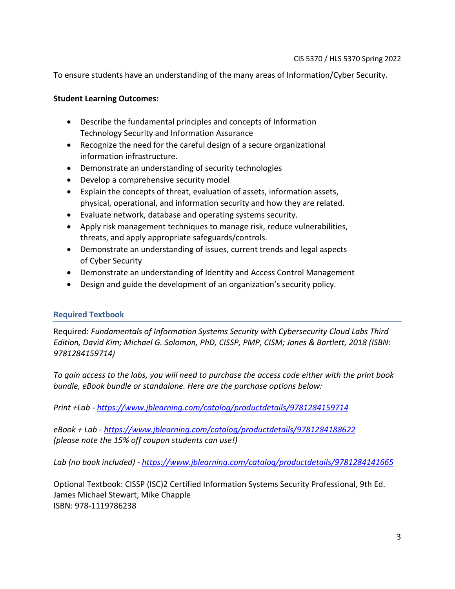To ensure students have an understanding of the many areas of Information/Cyber Security.

# **Student Learning Outcomes:**

- Describe the fundamental principles and concepts of Information Technology Security and Information Assurance
- Recognize the need for the careful design of a secure organizational information infrastructure.
- Demonstrate an understanding of security technologies
- Develop a comprehensive security model
- Explain the concepts of threat, evaluation of assets, information assets, physical, operational, and information security and how they are related.
- Evaluate network, database and operating systems security.
- Apply risk management techniques to manage risk, reduce vulnerabilities, threats, and apply appropriate safeguards/controls.
- Demonstrate an understanding of issues, current trends and legal aspects of Cyber Security
- Demonstrate an understanding of Identity and Access Control Management
- Design and guide the development of an organization's security policy.

# **Required Textbook**

Required: *Fundamentals of Information Systems Security with Cybersecurity Cloud Labs Third Edition, David Kim; Michael G. Solomon, PhD, CISSP, PMP, CISM; Jones & Bartlett, 2018 (ISBN: 9781284159714)*

*To gain access to the labs, you will need to purchase the access code either with the print book bundle, eBook bundle or standalone. Here are the purchase options below:* 

*Print +Lab - <https://www.jblearning.com/catalog/productdetails/9781284159714>*

*eBook + Lab - <https://www.jblearning.com/catalog/productdetails/9781284188622> (please note the 15% off coupon students can use!)*

*Lab (no book included) - <https://www.jblearning.com/catalog/productdetails/9781284141665>*

Optional Textbook: CISSP (ISC)2 Certified Information Systems Security Professional, 9th Ed. James Michael Stewart, Mike Chapple ISBN: 978-1119786238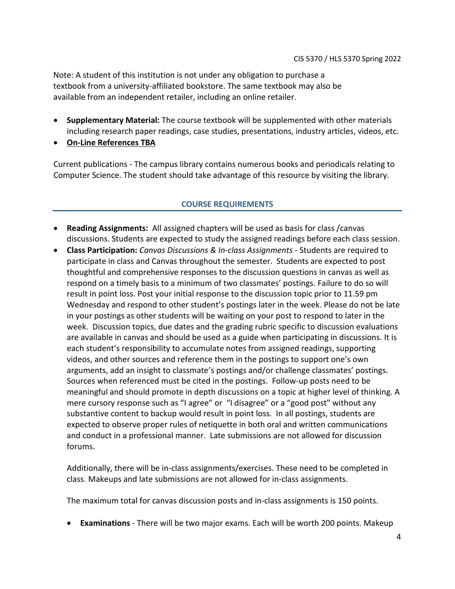Note: A student of this institution is not under any obligation to purchase a textbook from a university-affiliated bookstore. The same textbook may also be available from an independent retailer, including an online retailer.

- **Supplementary Material:** The course textbook will be supplemented with other materials including research paper readings, case studies, presentations, industry articles, videos, etc.
- **On-Line References TBA**

Current publications - The campus library contains numerous books and periodicals relating to Computer Science. The student should take advantage of this resource by visiting the library.

# **COURSE REQUIREMENTS**

- **Reading Assignments:** All assigned chapters will be used as basis for class /canvas discussions. Students are expected to study the assigned readings before each class session.
- **Class Participation:** *Canvas Discussions & In-class Assignments -* Students are required to participate in class and Canvas throughout the semester. Students are expected to post thoughtful and comprehensive responses to the discussion questions in canvas as well as respond on a timely basis to a minimum of two classmates' postings. Failure to do so will result in point loss. Post your initial response to the discussion topic prior to 11.59 pm Wednesday and respond to other student's postings later in the week. Please do not be late in your postings as other students will be waiting on your post to respond to later in the week. Discussion topics, due dates and the grading rubric specific to discussion evaluations are available in canvas and should be used as a guide when participating in discussions. It is each student's responsibility to accumulate notes from assigned readings, supporting videos, and other sources and reference them in the postings to support one's own arguments, add an insight to classmate's postings and/or challenge classmates' postings. Sources when referenced must be cited in the postings. Follow-up posts need to be meaningful and should promote in depth discussions on a topic at higher level of thinking. A mere cursory response such as "I agree" or "I disagree" or a "good post" without any substantive content to backup would result in point loss. In all postings, students are expected to observe proper rules of netiquette in both oral and written communications and conduct in a professional manner. Late submissions are not allowed for discussion forums.

Additionally, there will be in-class assignments/exercises. These need to be completed in class. Makeups and late submissions are not allowed for in-class assignments.

The maximum total for canvas discussion posts and in-class assignments is 150 points.

• **Examinations** - There will be two major exams. Each will be worth 200 points. Makeup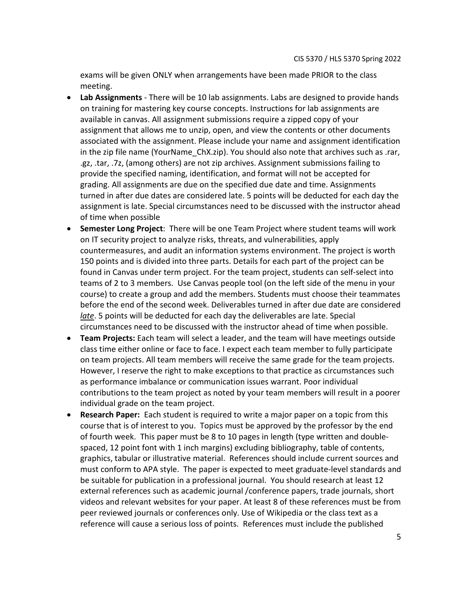exams will be given ONLY when arrangements have been made PRIOR to the class meeting.

- **Lab Assignments** There will be 10 lab assignments. Labs are designed to provide hands on training for mastering key course concepts. Instructions for lab assignments are available in canvas. All assignment submissions require a zipped copy of your assignment that allows me to unzip, open, and view the contents or other documents associated with the assignment. Please include your name and assignment identification in the zip file name (YourName ChX.zip). You should also note that archives such as .rar, .gz, .tar, .7z, (among others) are not zip archives. Assignment submissions failing to provide the specified naming, identification, and format will not be accepted for grading. All assignments are due on the specified due date and time. Assignments turned in after due dates are considered late. 5 points will be deducted for each day the assignment is late. Special circumstances need to be discussed with the instructor ahead of time when possible
- **Semester Long Project**: There will be one Team Project where student teams will work on IT security project to analyze risks, threats, and vulnerabilities, apply countermeasures, and audit an information systems environment. The project is worth 150 points and is divided into three parts. Details for each part of the project can be found in Canvas under term project. For the team project, students can self-select into teams of 2 to 3 members. Use Canvas people tool (on the left side of the menu in your course) to create a group and add the members. Students must choose their teammates before the end of the second week. Deliverables turned in after due date are considered *late*. 5 points will be deducted for each day the deliverables are late. Special circumstances need to be discussed with the instructor ahead of time when possible.
- **Team Projects:** Each team will select a leader, and the team will have meetings outside class time either online or face to face. I expect each team member to fully participate on team projects. All team members will receive the same grade for the team projects. However, I reserve the right to make exceptions to that practice as circumstances such as performance imbalance or communication issues warrant. Poor individual contributions to the team project as noted by your team members will result in a poorer individual grade on the team project.
- **Research Paper:** Each student is required to write a major paper on a topic from this course that is of interest to you. Topics must be approved by the professor by the end of fourth week. This paper must be 8 to 10 pages in length (type written and doublespaced, 12 point font with 1 inch margins) excluding bibliography, table of contents, graphics, tabular or illustrative material. References should include current sources and must conform to APA style. The paper is expected to meet graduate-level standards and be suitable for publication in a professional journal. You should research at least 12 external references such as academic journal /conference papers, trade journals, short videos and relevant websites for your paper. At least 8 of these references must be from peer reviewed journals or conferences only. Use of Wikipedia or the class text as a reference will cause a serious loss of points. References must include the published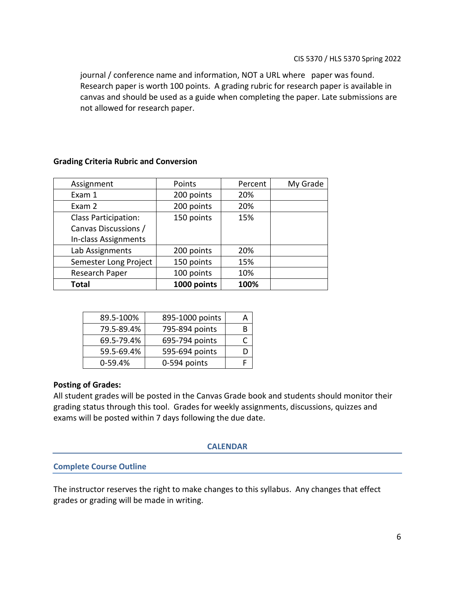journal / conference name and information, NOT a URL where paper was found. Research paper is worth 100 points. A grading rubric for research paper is available in canvas and should be used as a guide when completing the paper. Late submissions are not allowed for research paper.

| Assignment            | Points      | Percent | My Grade |
|-----------------------|-------------|---------|----------|
| Exam 1                | 200 points  | 20%     |          |
| Exam 2                | 200 points  | 20%     |          |
| Class Participation:  | 150 points  | 15%     |          |
| Canvas Discussions /  |             |         |          |
| In-class Assignments  |             |         |          |
| Lab Assignments       | 200 points  | 20%     |          |
| Semester Long Project | 150 points  | 15%     |          |
| Research Paper        | 100 points  | 10%     |          |
| <b>Total</b>          | 1000 points | 100%    |          |

# **Grading Criteria Rubric and Conversion**

| 89.5-100%  | 895-1000 points |   |
|------------|-----------------|---|
| 79.5-89.4% | 795-894 points  | R |
| 69.5-79.4% | 695-794 points  |   |
| 59.5-69.4% | 595-694 points  |   |
| $0-59.4%$  | 0-594 points    |   |

# **Posting of Grades:**

All student grades will be posted in the Canvas Grade book and students should monitor their grading status through this tool. Grades for weekly assignments, discussions, quizzes and exams will be posted within 7 days following the due date.

#### **CALENDAR**

#### **Complete Course Outline**

The instructor reserves the right to make changes to this syllabus. Any changes that effect grades or grading will be made in writing.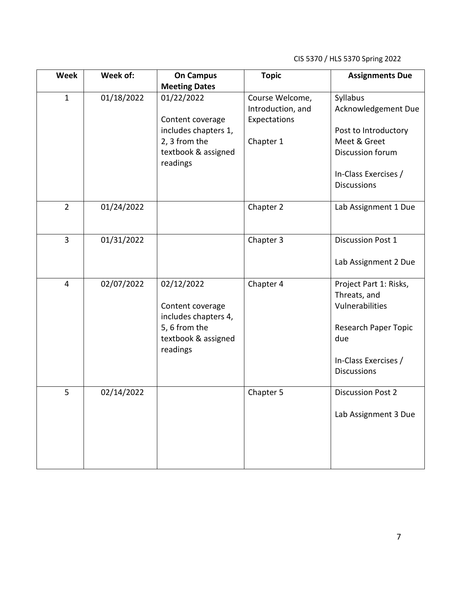CIS 5370 / HLS 5370 Spring 2022

| <b>Week</b>    | Week of:   | <b>On Campus</b>                                                                                                                   | <b>Topic</b>                                                      | <b>Assignments Due</b>                                                                                                                    |
|----------------|------------|------------------------------------------------------------------------------------------------------------------------------------|-------------------------------------------------------------------|-------------------------------------------------------------------------------------------------------------------------------------------|
| $\mathbf{1}$   | 01/18/2022 | <b>Meeting Dates</b><br>01/22/2022<br>Content coverage<br>includes chapters 1,<br>2, 3 from the<br>textbook & assigned<br>readings | Course Welcome,<br>Introduction, and<br>Expectations<br>Chapter 1 | Syllabus<br>Acknowledgement Due<br>Post to Introductory<br>Meet & Greet<br>Discussion forum<br>In-Class Exercises /<br><b>Discussions</b> |
| $\overline{2}$ | 01/24/2022 |                                                                                                                                    | Chapter 2                                                         | Lab Assignment 1 Due                                                                                                                      |
| 3              | 01/31/2022 |                                                                                                                                    | Chapter 3                                                         | Discussion Post 1<br>Lab Assignment 2 Due                                                                                                 |
| 4              | 02/07/2022 | 02/12/2022<br>Content coverage<br>includes chapters 4,<br>5, 6 from the<br>textbook & assigned<br>readings                         | Chapter 4                                                         | Project Part 1: Risks,<br>Threats, and<br>Vulnerabilities<br>Research Paper Topic<br>due<br>In-Class Exercises /<br><b>Discussions</b>    |
| 5              | 02/14/2022 |                                                                                                                                    | Chapter 5                                                         | <b>Discussion Post 2</b><br>Lab Assignment 3 Due                                                                                          |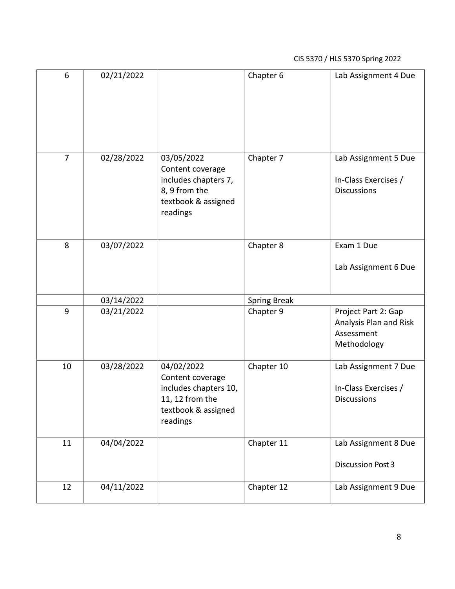# CIS 5370 / HLS 5370 Spring 2022

| 6              | 02/21/2022 |                                                                                                               | Chapter 6           | Lab Assignment 4 Due                                                       |
|----------------|------------|---------------------------------------------------------------------------------------------------------------|---------------------|----------------------------------------------------------------------------|
| $\overline{7}$ | 02/28/2022 | 03/05/2022<br>Content coverage<br>includes chapters 7,<br>8, 9 from the<br>textbook & assigned<br>readings    | Chapter 7           | Lab Assignment 5 Due<br>In-Class Exercises /<br><b>Discussions</b>         |
| 8              | 03/07/2022 |                                                                                                               | Chapter 8           | Exam 1 Due<br>Lab Assignment 6 Due                                         |
|                | 03/14/2022 |                                                                                                               | <b>Spring Break</b> |                                                                            |
| 9              | 03/21/2022 |                                                                                                               | Chapter 9           | Project Part 2: Gap<br>Analysis Plan and Risk<br>Assessment<br>Methodology |
| 10             | 03/28/2022 | 04/02/2022<br>Content coverage<br>includes chapters 10,<br>11, 12 from the<br>textbook & assigned<br>readings | Chapter 10          | Lab Assignment 7 Due<br>In-Class Exercises /<br><b>Discussions</b>         |
| 11             | 04/04/2022 |                                                                                                               | Chapter 11          | Lab Assignment 8 Due<br><b>Discussion Post 3</b>                           |
| 12             | 04/11/2022 |                                                                                                               | Chapter 12          | Lab Assignment 9 Due                                                       |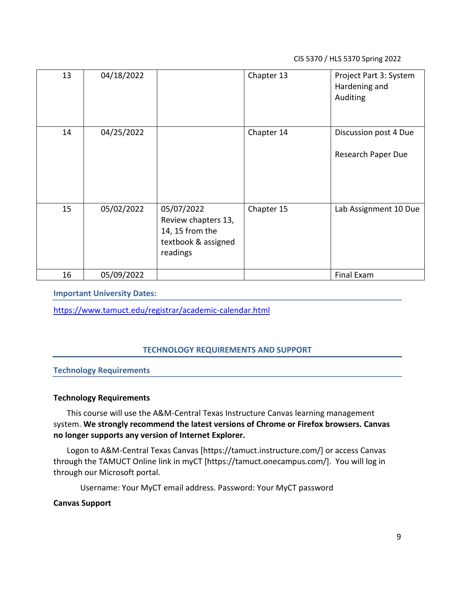#### CIS 5370 / HLS 5370 Spring 2022

| 13 | 04/18/2022 |                                                                                         | Chapter 13 | Project Part 3: System<br>Hardening and<br>Auditing |
|----|------------|-----------------------------------------------------------------------------------------|------------|-----------------------------------------------------|
| 14 | 04/25/2022 |                                                                                         | Chapter 14 | Discussion post 4 Due<br>Research Paper Due         |
| 15 | 05/02/2022 | 05/07/2022<br>Review chapters 13,<br>14, 15 from the<br>textbook & assigned<br>readings | Chapter 15 | Lab Assignment 10 Due                               |
| 16 | 05/09/2022 |                                                                                         |            | Final Exam                                          |

#### **Important University Dates:**

<https://www.tamuct.edu/registrar/academic-calendar.html>

# **TECHNOLOGY REQUIREMENTS AND SUPPORT**

#### **Technology Requirements**

#### **Technology Requirements**

This course will use the A&M-Central Texas Instructure Canvas learning management system. **We strongly recommend the latest versions of Chrome or Firefox browsers. Canvas no longer supports any version of Internet Explorer.**

Logon to A&M-Central Texas Canvas [https://tamuct.instructure.com/] or access Canvas through the TAMUCT Online link in myCT [https://tamuct.onecampus.com/]. You will log in through our Microsoft portal.

Username: Your MyCT email address. Password: Your MyCT password

#### **Canvas Support**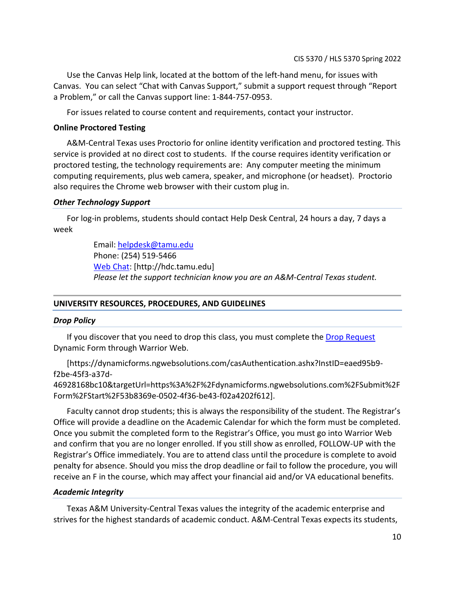Use the Canvas Help link, located at the bottom of the left-hand menu, for issues with Canvas. You can select "Chat with Canvas Support," submit a support request through "Report a Problem," or call the Canvas support line: 1-844-757-0953.

For issues related to course content and requirements, contact your instructor.

#### **Online Proctored Testing**

A&M-Central Texas uses Proctorio for online identity verification and proctored testing. This service is provided at no direct cost to students. If the course requires identity verification or proctored testing, the technology requirements are: Any computer meeting the minimum computing requirements, plus web camera, speaker, and microphone (or headset). Proctorio also requires the Chrome web browser with their custom plug in.

#### *Other Technology Support*

For log-in problems, students should contact Help Desk Central, 24 hours a day, 7 days a week

> Email: [helpdesk@tamu.edu](mailto:helpdesk@tamu.edu) Phone: (254) 519-5466 [Web Chat:](http://hdc.tamu.edu/) [http://hdc.tamu.edu] *Please let the support technician know you are an A&M-Central Texas student.*

# **UNIVERSITY RESOURCES, PROCEDURES, AND GUIDELINES**

#### *Drop Policy*

If you discover that you need to drop this class, you must complete the [Drop Request](https://dynamicforms.ngwebsolutions.com/casAuthentication.ashx?InstID=eaed95b9-f2be-45f3-a37d-46928168bc10&targetUrl=https%3A%2F%2Fdynamicforms.ngwebsolutions.com%2FSubmit%2FForm%2FStart%2F53b8369e-0502-4f36-be43-f02a4202f612) Dynamic Form through Warrior Web.

[https://dynamicforms.ngwebsolutions.com/casAuthentication.ashx?InstID=eaed95b9 f2be-45f3-a37d-

46928168bc10&targetUrl=https%3A%2F%2Fdynamicforms.ngwebsolutions.com%2FSubmit%2F Form%2FStart%2F53b8369e-0502-4f36-be43-f02a4202f612].

Faculty cannot drop students; this is always the responsibility of the student. The Registrar's Office will provide a deadline on the Academic Calendar for which the form must be completed. Once you submit the completed form to the Registrar's Office, you must go into Warrior Web and confirm that you are no longer enrolled. If you still show as enrolled, FOLLOW-UP with the Registrar's Office immediately. You are to attend class until the procedure is complete to avoid penalty for absence. Should you miss the drop deadline or fail to follow the procedure, you will receive an F in the course, which may affect your financial aid and/or VA educational benefits.

#### *Academic Integrity*

Texas A&M University-Central Texas values the integrity of the academic enterprise and strives for the highest standards of academic conduct. A&M-Central Texas expects its students,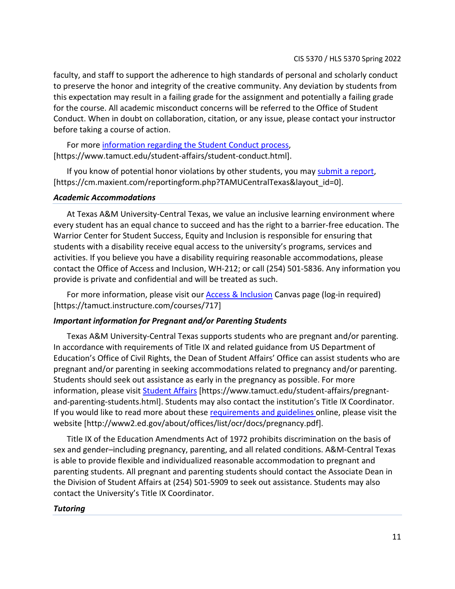faculty, and staff to support the adherence to high standards of personal and scholarly conduct to preserve the honor and integrity of the creative community. Any deviation by students from this expectation may result in a failing grade for the assignment and potentially a failing grade for the course. All academic misconduct concerns will be referred to the Office of Student Conduct. When in doubt on collaboration, citation, or any issue, please contact your instructor before taking a course of action.

For more [information](https://nam04.safelinks.protection.outlook.com/?url=https%3A%2F%2Fwww.tamuct.edu%2Fstudent-affairs%2Fstudent-conduct.html&data=04%7C01%7Clisa.bunkowski%40tamuct.edu%7Ccfb6e486f24745f53e1a08d910055cb2%7C9eed4e3000f744849ff193ad8005acec%7C0%7C0%7C637558437485252160%7CUnknown%7CTWFpbGZsb3d8eyJWIjoiMC4wLjAwMDAiLCJQIjoiV2luMzIiLCJBTiI6Ik1haWwiLCJXVCI6Mn0%3D%7C1000&sdata=yjftDEVHvLX%2FhM%2FcFU0B99krV1RgEWR%2BJ%2BhvtoR6TYk%3D&reserved=0) regarding the Student Conduct process, [https://www.tamuct.edu/student-affairs/student-conduct.html].

If you know of potential honor violations by other students, you may [submit](https://nam04.safelinks.protection.outlook.com/?url=https%3A%2F%2Fcm.maxient.com%2Freportingform.php%3FTAMUCentralTexas%26layout_id%3D0&data=04%7C01%7Clisa.bunkowski%40tamuct.edu%7Ccfb6e486f24745f53e1a08d910055cb2%7C9eed4e3000f744849ff193ad8005acec%7C0%7C0%7C637558437485262157%7CUnknown%7CTWFpbGZsb3d8eyJWIjoiMC4wLjAwMDAiLCJQIjoiV2luMzIiLCJBTiI6Ik1haWwiLCJXVCI6Mn0%3D%7C1000&sdata=CXGkOa6uPDPX1IMZ87z3aZDq2n91xfHKu4MMS43Ejjk%3D&reserved=0) a report, [https://cm.maxient.com/reportingform.php?TAMUCentralTexas&layout\_id=0].

# *Academic Accommodations*

At Texas A&M University-Central Texas, we value an inclusive learning environment where every student has an equal chance to succeed and has the right to a barrier-free education. The Warrior Center for Student Success, Equity and Inclusion is responsible for ensuring that students with a disability receive equal access to the university's programs, services and activities. If you believe you have a disability requiring reasonable accommodations, please contact the Office of Access and Inclusion, WH-212; or call (254) 501-5836. Any information you provide is private and confidential and will be treated as such.

For more information, please visit our **Access & Inclusion** Canvas page (log-in required) [https://tamuct.instructure.com/courses/717]

# *Important information for Pregnant and/or Parenting Students*

Texas A&M University-Central Texas supports students who are pregnant and/or parenting. In accordance with requirements of Title IX and related guidance from US Department of Education's Office of Civil Rights, the Dean of Student Affairs' Office can assist students who are pregnant and/or parenting in seeking accommodations related to pregnancy and/or parenting. Students should seek out assistance as early in the pregnancy as possible. For more information, please visit [Student Affairs](https://www.tamuct.edu/student-affairs/pregnant-and-parenting-students.html) [https://www.tamuct.edu/student-affairs/pregnantand-parenting-students.html]. Students may also contact the institution's Title IX Coordinator. If you would like to read more about thes[e requirements and guidelines](http://www2.ed.gov/about/offices/list/ocr/docs/pregnancy.pdf) online, please visit the website [http://www2.ed.gov/about/offices/list/ocr/docs/pregnancy.pdf].

Title IX of the Education Amendments Act of 1972 prohibits discrimination on the basis of sex and gender–including pregnancy, parenting, and all related conditions. A&M-Central Texas is able to provide flexible and individualized reasonable accommodation to pregnant and parenting students. All pregnant and parenting students should contact the Associate Dean in the Division of Student Affairs at (254) 501-5909 to seek out assistance. Students may also contact the University's Title IX Coordinator.

# *Tutoring*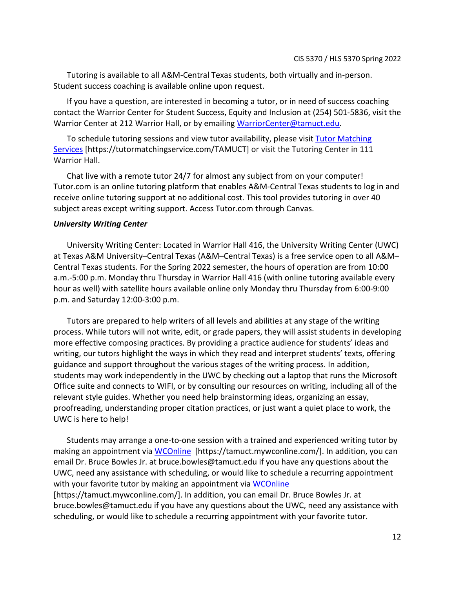Tutoring is available to all A&M-Central Texas students, both virtually and in-person. Student success coaching is available online upon request.

If you have a question, are interested in becoming a tutor, or in need of success coaching contact the Warrior Center for Student Success, Equity and Inclusion at (254) 501-5836, visit the Warrior Center at 212 Warrior Hall, or by emailing [WarriorCenter@tamuct.edu.](mailto:WarriorCenter@tamuct.edu)

To schedule tutoring sessions and view tutor availability, please visit Tutor [Matching](https://tutormatchingservice.com/TAMUCT) [Services](https://tutormatchingservice.com/TAMUCT) [https://tutormatchingservice.com/TAMUCT] or visit the Tutoring Center in 111 Warrior Hall.

Chat live with a remote tutor 24/7 for almost any subject from on your computer! Tutor.com is an online tutoring platform that enables A&M-Central Texas students to log in and receive online tutoring support at no additional cost. This tool provides tutoring in over 40 subject areas except writing support. Access Tutor.com through Canvas.

#### *University Writing Center*

University Writing Center: Located in Warrior Hall 416, the University Writing Center (UWC) at Texas A&M University–Central Texas (A&M–Central Texas) is a free service open to all A&M– Central Texas students. For the Spring 2022 semester, the hours of operation are from 10:00 a.m.-5:00 p.m. Monday thru Thursday in Warrior Hall 416 (with online tutoring available every hour as well) with satellite hours available online only Monday thru Thursday from 6:00-9:00 p.m. and Saturday 12:00-3:00 p.m.

Tutors are prepared to help writers of all levels and abilities at any stage of the writing process. While tutors will not write, edit, or grade papers, they will assist students in developing more effective composing practices. By providing a practice audience for students' ideas and writing, our tutors highlight the ways in which they read and interpret students' texts, offering guidance and support throughout the various stages of the writing process. In addition, students may work independently in the UWC by checking out a laptop that runs the Microsoft Office suite and connects to WIFI, or by consulting our resources on writing, including all of the relevant style guides. Whether you need help brainstorming ideas, organizing an essay, proofreading, understanding proper citation practices, or just want a quiet place to work, the UWC is here to help!

Students may arrange a one-to-one session with a trained and experienced writing tutor by making an appointment via [WCOnline](https://tamuct.mywconline.com/) [https://tamuct.mywconline.com/]. In addition, you can email Dr. Bruce Bowles Jr. at bruce.bowles@tamuct.edu if you have any questions about the UWC, need any assistance with scheduling, or would like to schedule a recurring appointment with your favorite tutor by making an appointment via [WCOnline](https://tamuct.mywconline.com/) [https://tamuct.mywconline.com/]. In addition, you can email Dr. Bruce Bowles Jr. at bruce.bowles@tamuct.edu if you have any questions about the UWC, need any assistance with scheduling, or would like to schedule a recurring appointment with your favorite tutor.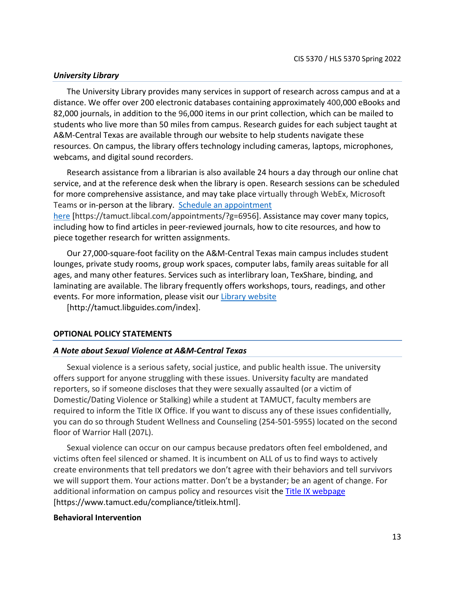#### *University Library*

The University Library provides many services in support of research across campus and at a distance. We offer over 200 electronic databases containing approximately 400,000 eBooks and 82,000 journals, in addition to the 96,000 items in our print collection, which can be mailed to students who live more than 50 miles from campus. Research guides for each subject taught at A&M-Central Texas are available through our website to help students navigate these resources. On campus, the library offers technology including cameras, laptops, microphones, webcams, and digital sound recorders.

Research assistance from a librarian is also available 24 hours a day through our online chat service, and at the reference desk when the library is open. Research sessions can be scheduled for more comprehensive assistance, and may take place virtually through WebEx, Microsoft Teams or in-person at the library. Schedule an [appointment](https://nam04.safelinks.protection.outlook.com/?url=https%3A%2F%2Ftamuct.libcal.com%2Fappointments%2F%3Fg%3D6956&data=04%7C01%7Clisa.bunkowski%40tamuct.edu%7Cde2c07d9f5804f09518008d9ab7ba6ff%7C9eed4e3000f744849ff193ad8005acec%7C0%7C0%7C637729369835011558%7CUnknown%7CTWFpbGZsb3d8eyJWIjoiMC4wLjAwMDAiLCJQIjoiV2luMzIiLCJBTiI6Ik1haWwiLCJXVCI6Mn0%3D%7C3000&sdata=KhtjgRSAw9aq%2FoBsB6wyu8b7PSuGN5EGPypzr3Ty2No%3D&reserved=0)

[here](https://nam04.safelinks.protection.outlook.com/?url=https%3A%2F%2Ftamuct.libcal.com%2Fappointments%2F%3Fg%3D6956&data=04%7C01%7Clisa.bunkowski%40tamuct.edu%7Cde2c07d9f5804f09518008d9ab7ba6ff%7C9eed4e3000f744849ff193ad8005acec%7C0%7C0%7C637729369835011558%7CUnknown%7CTWFpbGZsb3d8eyJWIjoiMC4wLjAwMDAiLCJQIjoiV2luMzIiLCJBTiI6Ik1haWwiLCJXVCI6Mn0%3D%7C3000&sdata=KhtjgRSAw9aq%2FoBsB6wyu8b7PSuGN5EGPypzr3Ty2No%3D&reserved=0) [https://tamuct.libcal.com/appointments/?g=6956]. Assistance may cover many topics, including how to find articles in peer-reviewed journals, how to cite resources, and how to piece together research for written assignments.

Our 27,000-square-foot facility on the A&M-Central Texas main campus includes student lounges, private study rooms, group work spaces, computer labs, family areas suitable for all ages, and many other features. Services such as interlibrary loan, TexShare, binding, and laminating are available. The library frequently offers workshops, tours, readings, and other events. For more information, please visit our Library [website](https://nam04.safelinks.protection.outlook.com/?url=https%3A%2F%2Ftamuct.libguides.com%2Findex&data=04%7C01%7Clisa.bunkowski%40tamuct.edu%7C7d8489e8839a4915335f08d916f067f2%7C9eed4e3000f744849ff193ad8005acec%7C0%7C0%7C637566044056484222%7CUnknown%7CTWFpbGZsb3d8eyJWIjoiMC4wLjAwMDAiLCJQIjoiV2luMzIiLCJBTiI6Ik1haWwiLCJXVCI6Mn0%3D%7C1000&sdata=2R755V6rcIyedGrd4Os5rkgn1PvhHKU3kUV1vBKiHFo%3D&reserved=0)

[http://tamuct.libguides.com/index].

#### **OPTIONAL POLICY STATEMENTS**

#### *A Note about Sexual Violence at A&M-Central Texas*

Sexual violence is a serious safety, social justice, and public health issue. The university offers support for anyone struggling with these issues. University faculty are mandated reporters, so if someone discloses that they were sexually assaulted (or a victim of Domestic/Dating Violence or Stalking) while a student at TAMUCT, faculty members are required to inform the Title IX Office. If you want to discuss any of these issues confidentially, you can do so through Student Wellness and Counseling (254-501-5955) located on the second floor of Warrior Hall (207L).

Sexual violence can occur on our campus because predators often feel emboldened, and victims often feel silenced or shamed. It is incumbent on ALL of us to find ways to actively create environments that tell predators we don't agree with their behaviors and tell survivors we will support them. Your actions matter. Don't be a bystander; be an agent of change. For additional information on campus policy and resources visit the [Title IX webpage](https://www.tamuct.edu/compliance/titleix.html) [\[https://www.tamuct.edu/compliance/titleix.html\]](https://www.tamuct.edu/compliance/titleix.html).

#### **Behavioral Intervention**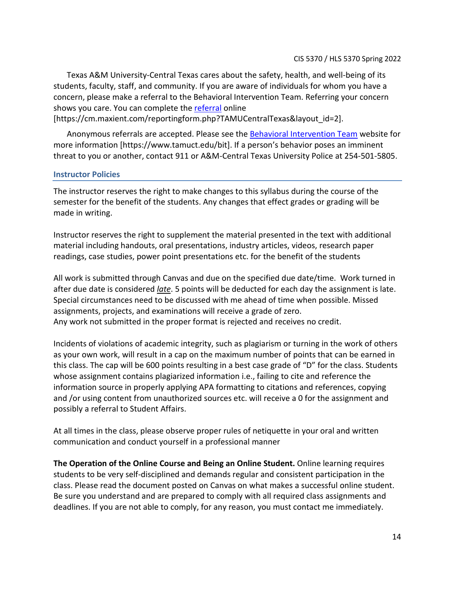Texas A&M University-Central Texas cares about the safety, health, and well-being of its students, faculty, staff, and community. If you are aware of individuals for whom you have a concern, please make a referral to the Behavioral Intervention Team. Referring your concern shows you care. You can complete the [referral](https://cm.maxient.com/reportingform.php?TAMUCentralTexas&layout_id=2) online

[https://cm.maxient.com/reportingform.php?TAMUCentralTexas&layout\_id=2].

Anonymous referrals are accepted. Please see the [Behavioral Intervention Team](https://www.tamuct.edu/bit) website for more information [https://www.tamuct.edu/bit]. If a person's behavior poses an imminent threat to you or another, contact 911 or A&M-Central Texas University Police at 254-501-5805.

#### **Instructor Policies**

The instructor reserves the right to make changes to this syllabus during the course of the semester for the benefit of the students. Any changes that effect grades or grading will be made in writing.

Instructor reserves the right to supplement the material presented in the text with additional material including handouts, oral presentations, industry articles, videos, research paper readings, case studies, power point presentations etc. for the benefit of the students

All work is submitted through Canvas and due on the specified due date/time. Work turned in after due date is considered *late*. 5 points will be deducted for each day the assignment is late. Special circumstances need to be discussed with me ahead of time when possible. Missed assignments, projects, and examinations will receive a grade of zero. Any work not submitted in the proper format is rejected and receives no credit.

Incidents of violations of academic integrity, such as plagiarism or turning in the work of others as your own work, will result in a cap on the maximum number of points that can be earned in this class. The cap will be 600 points resulting in a best case grade of "D" for the class. Students whose assignment contains plagiarized information i.e., failing to cite and reference the information source in properly applying APA formatting to citations and references, copying and /or using content from unauthorized sources etc. will receive a 0 for the assignment and possibly a referral to Student Affairs.

At all times in the class, please observe proper rules of netiquette in your oral and written communication and conduct yourself in a professional manner

**The Operation of the Online Course and Being an Online Student.** Online learning requires students to be very self-disciplined and demands regular and consistent participation in the class. Please read the document posted on Canvas on what makes a successful online student. Be sure you understand and are prepared to comply with all required class assignments and deadlines. If you are not able to comply, for any reason, you must contact me immediately.